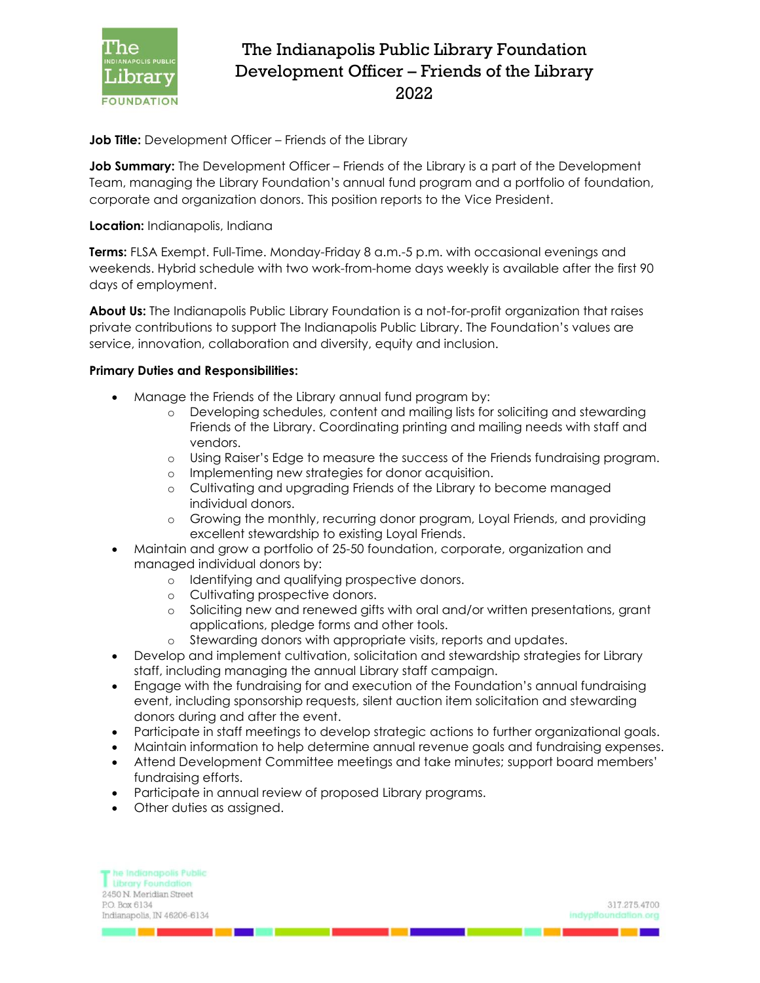

## The Indianapolis Public Library Foundation Development Officer – Friends of the Library 2022

**Job Title:** Development Officer – Friends of the Library

**Job Summary:** The Development Officer – Friends of the Library is a part of the Development Team, managing the Library Foundation's annual fund program and a portfolio of foundation, corporate and organization donors. This position reports to the Vice President.

## **Location:** Indianapolis, Indiana

**Terms:** FLSA Exempt. Full-Time. Monday-Friday 8 a.m.-5 p.m. with occasional evenings and weekends. Hybrid schedule with two work-from-home days weekly is available after the first 90 days of employment.

**About Us:** The Indianapolis Public Library Foundation is a not-for-profit organization that raises private contributions to support The Indianapolis Public Library. The Foundation's values are service, innovation, collaboration and diversity, equity and inclusion.

## **Primary Duties and Responsibilities:**

- Manage the Friends of the Library annual fund program by:
	- o Developing schedules, content and mailing lists for soliciting and stewarding Friends of the Library. Coordinating printing and mailing needs with staff and vendors.
	- o Using Raiser's Edge to measure the success of the Friends fundraising program.
	- o Implementing new strategies for donor acquisition.
	- o Cultivating and upgrading Friends of the Library to become managed individual donors.
	- o Growing the monthly, recurring donor program, Loyal Friends, and providing excellent stewardship to existing Loyal Friends.
- Maintain and grow a portfolio of 25-50 foundation, corporate, organization and managed individual donors by:
	- o Identifying and qualifying prospective donors.
	- o Cultivating prospective donors.
	- o Soliciting new and renewed gifts with oral and/or written presentations, grant applications, pledge forms and other tools.
	- o Stewarding donors with appropriate visits, reports and updates.
- Develop and implement cultivation, solicitation and stewardship strategies for Library staff, including managing the annual Library staff campaign.
- Engage with the fundraising for and execution of the Foundation's annual fundraising event, including sponsorship requests, silent auction item solicitation and stewarding donors during and after the event.
- Participate in staff meetings to develop strategic actions to further organizational goals.
- Maintain information to help determine annual revenue goals and fundraising expenses.
- Attend Development Committee meetings and take minutes; support board members' fundraising efforts.
- Participate in annual review of proposed Library programs.
- Other duties as assigned.

| The Indianapolis Public     |                      |
|-----------------------------|----------------------|
| <b>Library Foundation</b>   |                      |
| 2450 N. Meridian Street     |                      |
| P.O. Box 6134               | 317.275.4700         |
| Indianapolis, IN 46206-6134 | indyplfoundation.org |
|                             |                      |